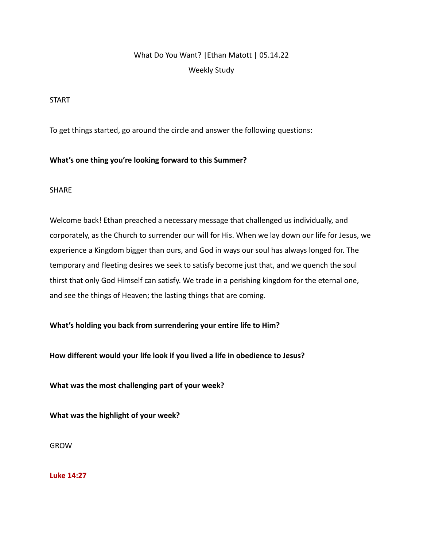# What Do You Want? |Ethan Matott | 05.14.22 Weekly Study

#### START

To get things started, go around the circle and answer the following questions:

### **What's one thing you're looking forward to this Summer?**

#### SHARE

Welcome back! Ethan preached a necessary message that challenged us individually, and corporately, as the Church to surrender our will for His. When we lay down our life for Jesus, we experience a Kingdom bigger than ours, and God in ways our soul has always longed for. The temporary and fleeting desires we seek to satisfy become just that, and we quench the soul thirst that only God Himself can satisfy. We trade in a perishing kingdom for the eternal one, and see the things of Heaven; the lasting things that are coming.

#### **What's holding you back from surrendering your entire life to Him?**

**How different would your life look if you lived a life in obedience to Jesus?**

**What was the most challenging part of your week?**

**What was the highlight of your week?**

GROW

**Luke 14:27**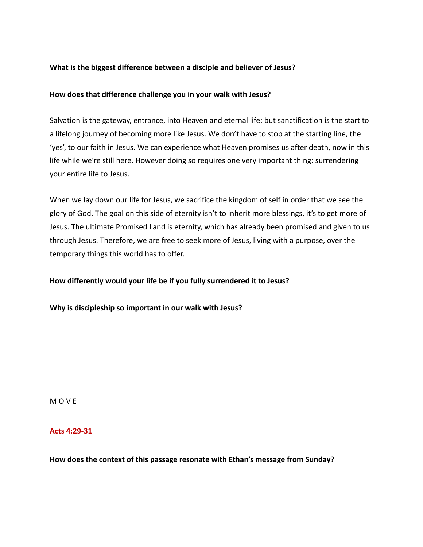#### **What is the biggest difference between a disciple and believer of Jesus?**

#### **How does that difference challenge you in your walk with Jesus?**

Salvation is the gateway, entrance, into Heaven and eternal life: but sanctification is the start to a lifelong journey of becoming more like Jesus. We don't have to stop at the starting line, the 'yes', to our faith in Jesus. We can experience what Heaven promises us after death, now in this life while we're still here. However doing so requires one very important thing: surrendering your entire life to Jesus.

When we lay down our life for Jesus, we sacrifice the kingdom of self in order that we see the glory of God. The goal on this side of eternity isn't to inherit more blessings, it's to get more of Jesus. The ultimate Promised Land is eternity, which has already been promised and given to us through Jesus. Therefore, we are free to seek more of Jesus, living with a purpose, over the temporary things this world has to offer.

#### **How differently would your life be if you fully surrendered it to Jesus?**

**Why is discipleship so important in our walk with Jesus?**

M O V E

#### **Acts 4:29-31**

**How does the context of this passage resonate with Ethan's message from Sunday?**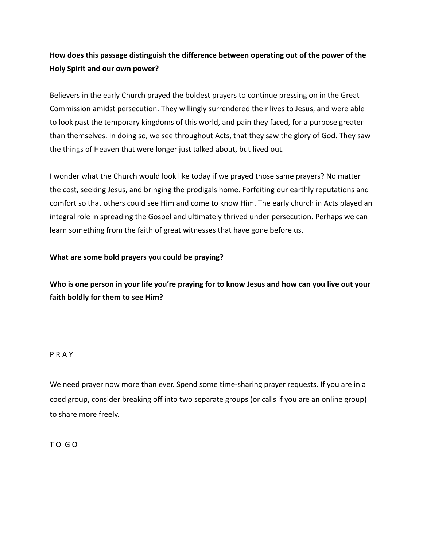## **How does this passage distinguish the difference between operating out of the power of the Holy Spirit and our own power?**

Believers in the early Church prayed the boldest prayers to continue pressing on in the Great Commission amidst persecution. They willingly surrendered their lives to Jesus, and were able to look past the temporary kingdoms of this world, and pain they faced, for a purpose greater than themselves. In doing so, we see throughout Acts, that they saw the glory of God. They saw the things of Heaven that were longer just talked about, but lived out.

I wonder what the Church would look like today if we prayed those same prayers? No matter the cost, seeking Jesus, and bringing the prodigals home. Forfeiting our earthly reputations and comfort so that others could see Him and come to know Him. The early church in Acts played an integral role in spreading the Gospel and ultimately thrived under persecution. Perhaps we can learn something from the faith of great witnesses that have gone before us.

### **What are some bold prayers you could be praying?**

**Who is one person in your life you're praying for to know Jesus and how can you live out your faith boldly for them to see Him?**

#### P R A Y

We need prayer now more than ever. Spend some time-sharing prayer requests. If you are in a coed group, consider breaking off into two separate groups (or calls if you are an online group) to share more freely.

T O G O